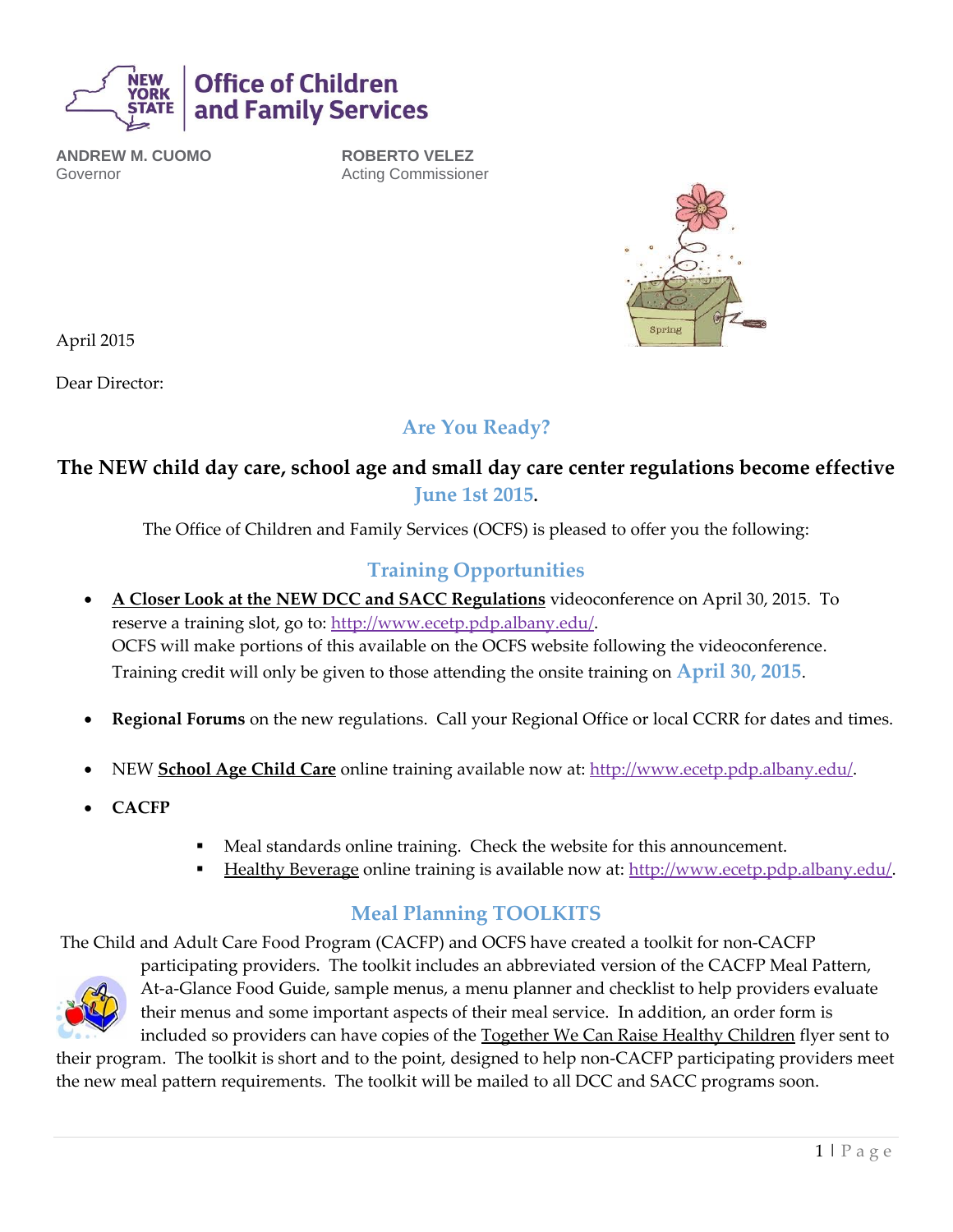

**ANDREW M. CUOMO** Governor

**ROBERTO VELEZ** Acting Commissioner



April 2015

Dear Director:

### **Are You Ready?**

### **The NEW child day care, school age and small day care center regulations become effective June 1st 2015.**

The Office of Children and Family Services (OCFS) is pleased to offer you the following:

### **Training Opportunities**

- **A Closer Look at the NEW DCC and SACC Regulations** videoconference on April 30, 2015. To reserve a training slot, go to: http://www.ecetp.pdp.albany.edu/. OCFS will make portions of this available on the OCFS website following the videoconference. Training credit will only be given to those attending the onsite training on **April 30, 2015**.
- **Regional Forums** on the new regulations. Call your Regional Office or local CCRR for dates and times.
- NEW **School Age Child Care** online training available now at: http://www.ecetp.pdp.albany.edu/.
- **CACFP**
- Meal standards online training. Check the website for this announcement.
- Healthy Beverage online training is available now at: http://www.ecetp.pdp.albany.edu/.

### **Meal Planning TOOLKITS**

The Child and Adult Care Food Program (CACFP) and OCFS have created a toolkit for non-CACFP



participating providers. The toolkit includes an abbreviated version of the CACFP Meal Pattern, At-a-Glance Food Guide, sample menus, a menu planner and checklist to help providers evaluate their menus and some important aspects of their meal service. In addition, an order form is included so providers can have copies of the Together We Can Raise Healthy Children flyer sent to

their program. The toolkit is short and to the point, designed to help non-CACFP participating providers meet the new meal pattern requirements. The toolkit will be mailed to all DCC and SACC programs soon.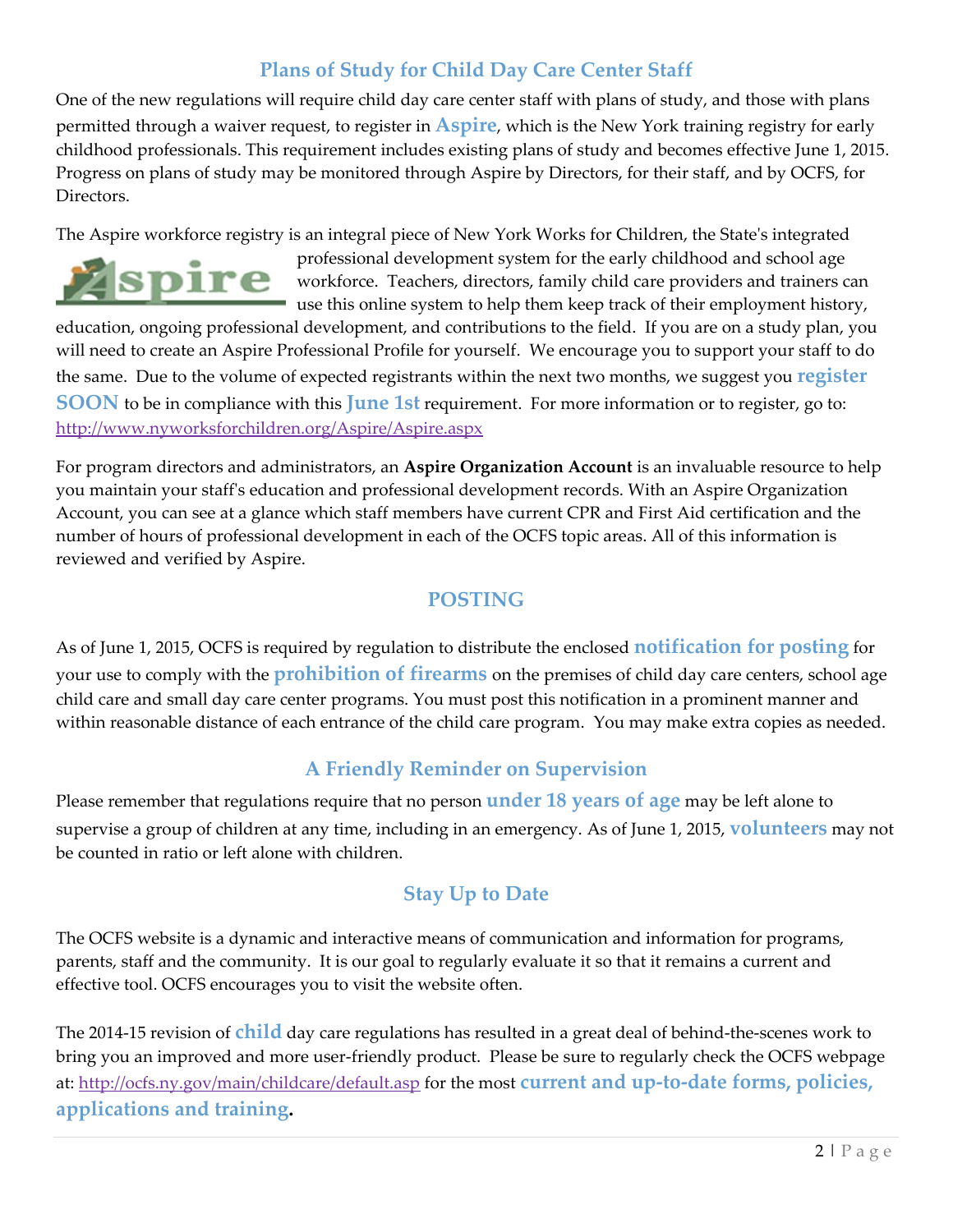## **Plans of Study for Child Day Care Center Staff**

One of the new regulations will require child day care center staff with plans of study, and those with plans permitted through a waiver request, to register in **Aspire**, which is the New York training registry for early childhood professionals. This requirement includes existing plans of study and becomes effective June 1, 2015. Progress on plans of study may be monitored through Aspire by Directors, for their staff, and by OCFS, for Directors.

The Aspire workforce registry is an integral piece of New York Works for Children, the State's integrated



professional development system for the early childhood and school age workforce. Teachers, directors, family child care providers and trainers can use this online system to help them keep track of their employment history,

education, ongoing professional development, and contributions to the field. If you are on a study plan, you will need to create an Aspire Professional Profile for yourself. We encourage you to support your staff to do the same. Due to the volume of expected registrants within the next two months, we suggest you **register SOON** to be in compliance with this **June 1st** requirement. For more information or to register, go to: <http://www.nyworksforchildren.org/Aspire/Aspire.aspx>

For program directors and administrators, an **Aspire Organization Account** is an invaluable resource to help you maintain your staff's education and professional development records. With an Aspire Organization Account, you can see at a glance which staff members have current CPR and First Aid certification and the number of hours of professional development in each of the OCFS topic areas. All of this information is reviewed and verified by Aspire.

### **POSTING**

As of June 1, 2015, OCFS is required by regulation to distribute the enclosed **notification for posting** for your use to comply with the **prohibition of firearms** on the premises of child day care centers, school age child care and small day care center programs. You must post this notification in a prominent manner and within reasonable distance of each entrance of the child care program. You may make extra copies as needed.

### **A Friendly Reminder on Supervision**

Please remember that regulations require that no person **under 18 years of age** may be left alone to supervise a group of children at any time, including in an emergency. As of June 1, 2015, **volunteers** may not be counted in ratio or left alone with children.

### **Stay Up to Date**

The OCFS website is a dynamic and interactive means of communication and information for programs, parents, staff and the community. It is our goal to regularly evaluate it so that it remains a current and effective tool. OCFS encourages you to visit the website often.

The 2014-15 revision of **child** day care regulations has resulted in a great deal of behind-the-scenes work to bring you an improved and more user-friendly product. Please be sure to regularly check the OCFS webpage at:<http://ocfs.ny.gov/main/childcare/default.asp> for the most **current and up-to-date forms, policies, applications and training.**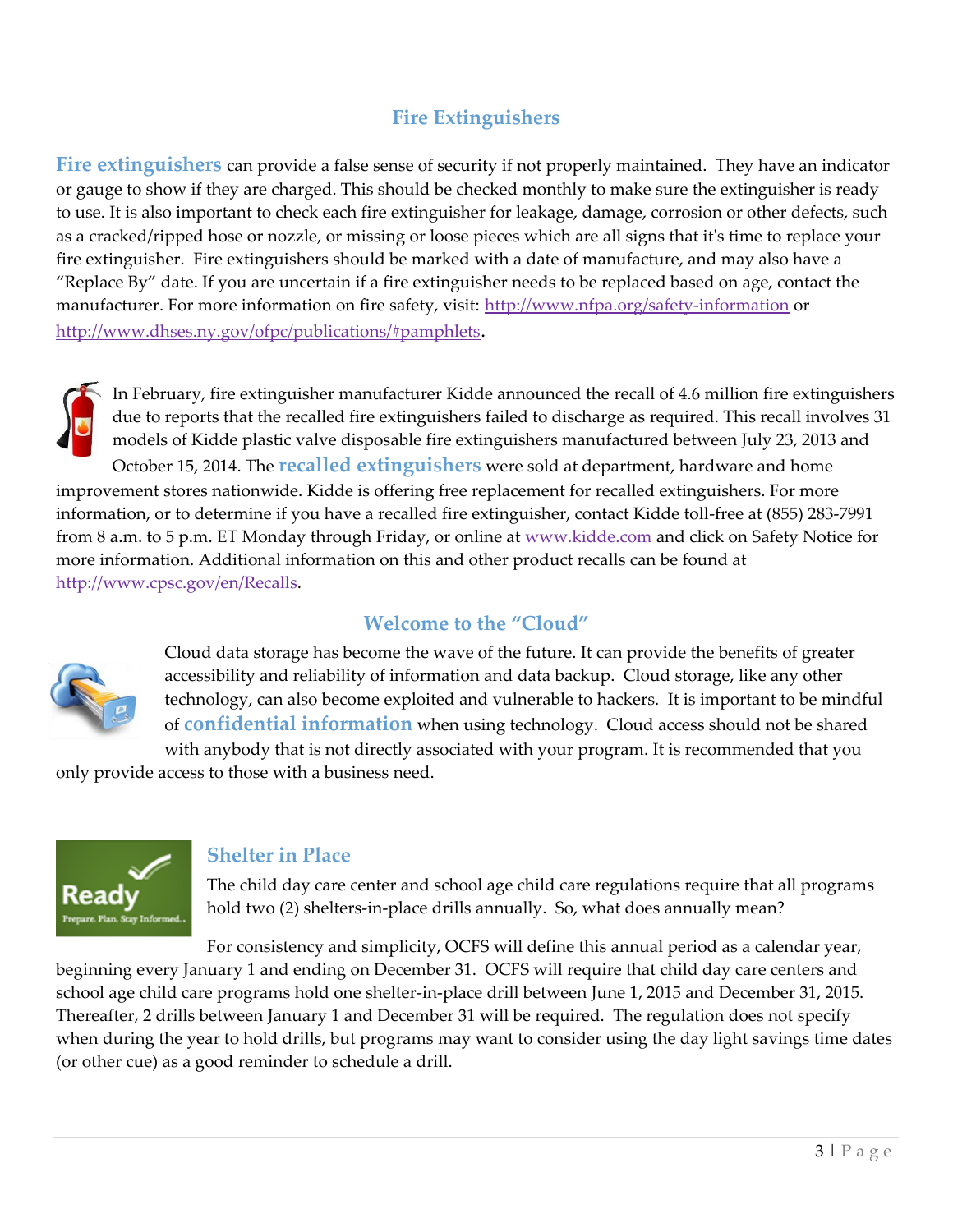# **Fire Extinguishers**

**Fire extinguishers** can provide a false sense of security if not properly maintained. They have an indicator or gauge to show if they are charged. This should be checked monthly to make sure the extinguisher is ready to use. It is also important to check each fire extinguisher for leakage, damage, corrosion or other defects, such as a cracked/ripped hose or nozzle, or missing or loose pieces which are all signs that it's time to replace your fire extinguisher. Fire extinguishers should be marked with a date of manufacture, and may also have a "Replace By" date. If you are uncertain if a fire extinguisher needs to be replaced based on age, contact the manufacturer. For more information on fire safety, visit: <http://www.nfpa.org/safety-information> or <http://www.dhses.ny.gov/ofpc/publications/#pamphlets>.



In February, fire extinguisher manufacturer Kidde announced the recall of 4.6 million fire extinguishers due to reports that the recalled fire extinguishers failed to discharge as required. This recall involves 31 models of Kidde plastic valve disposable fire extinguishers manufactured between July 23, 2013 and October 15, 2014. The **recalled extinguishers** were sold at department, hardware and home improvement stores nationwide. Kidde is offering free replacement for recalled extinguishers. For more information, or to determine if you have a recalled fire extinguisher, contact Kidde toll-free at (855) 283-7991 from 8 a.m. to 5 p.m. ET Monday through Friday, or online at [www.kidde.com](http://www.kidde.com/) and click on Safety Notice for more information. Additional information on this and other product recalls can be found at [http://www.cpsc.gov/en/Recalls.](http://www.cpsc.gov/en/Recalls)

## **Welcome to the "Cloud"**



Cloud data storage has become the wave of the future. It can provide the benefits of greater accessibility and reliability of information and [data backup.](http://www.webopedia.com/TERM/B/backup.html) Cloud storage, like any other technology, can also become exploited and vulnerable to hackers. It is important to be mindful of **confidential information** when using technology. Cloud access should not be shared with anybody that is not directly associated with your program. It is recommended that you

only provide access to those with a business need.



#### **Shelter in Place**

The child day care center and school age child care regulations require that all programs hold two (2) shelters-in-place drills annually. So, what does annually mean?

For consistency and simplicity, OCFS will define this annual period as a calendar year, beginning every January 1 and ending on December 31. OCFS will require that child day care centers and school age child care programs hold one shelter-in-place drill between June 1, 2015 and December 31, 2015. Thereafter, 2 drills between January 1 and December 31 will be required. The regulation does not specify when during the year to hold drills, but programs may want to consider using the day light savings time dates (or other cue) as a good reminder to schedule a drill.